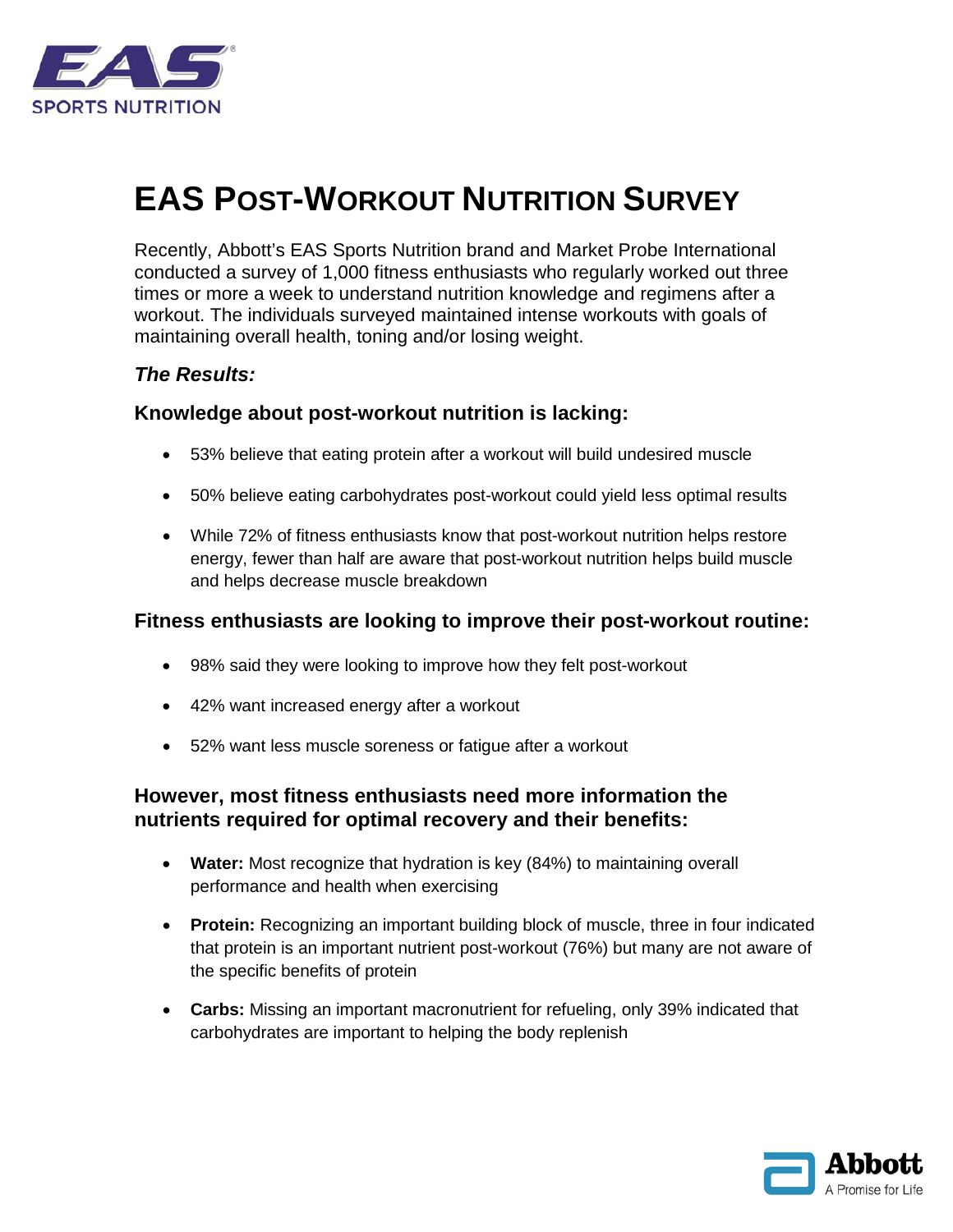

# **EAS POST-WORKOUT NUTRITION SURVEY**

Recently, Abbott's EAS Sports Nutrition brand and Market Probe International conducted a survey of 1,000 fitness enthusiasts who regularly worked out three times or more a week to understand nutrition knowledge and regimens after a workout. The individuals surveyed maintained intense workouts with goals of maintaining overall health, toning and/or losing weight.

## *The Results:*

## **Knowledge about post-workout nutrition is lacking:**

- 53% believe that eating protein after a workout will build undesired muscle
- 50% believe eating carbohydrates post-workout could yield less optimal results
- While 72% of fitness enthusiasts know that post-workout nutrition helps restore energy, fewer than half are aware that post-workout nutrition helps build muscle and helps decrease muscle breakdown

#### **Fitness enthusiasts are looking to improve their post-workout routine:**

- 98% said they were looking to improve how they felt post-workout
- 42% want increased energy after a workout
- 52% want less muscle soreness or fatigue after a workout

## **However, most fitness enthusiasts need more information the nutrients required for optimal recovery and their benefits:**

- **Water:** Most recognize that hydration is key (84%) to maintaining overall performance and health when exercising
- **Protein:** Recognizing an important building block of muscle, three in four indicated that protein is an important nutrient post-workout (76%) but many are not aware of the specific benefits of protein
- **Carbs:** Missing an important macronutrient for refueling, only 39% indicated that carbohydrates are important to helping the body replenish

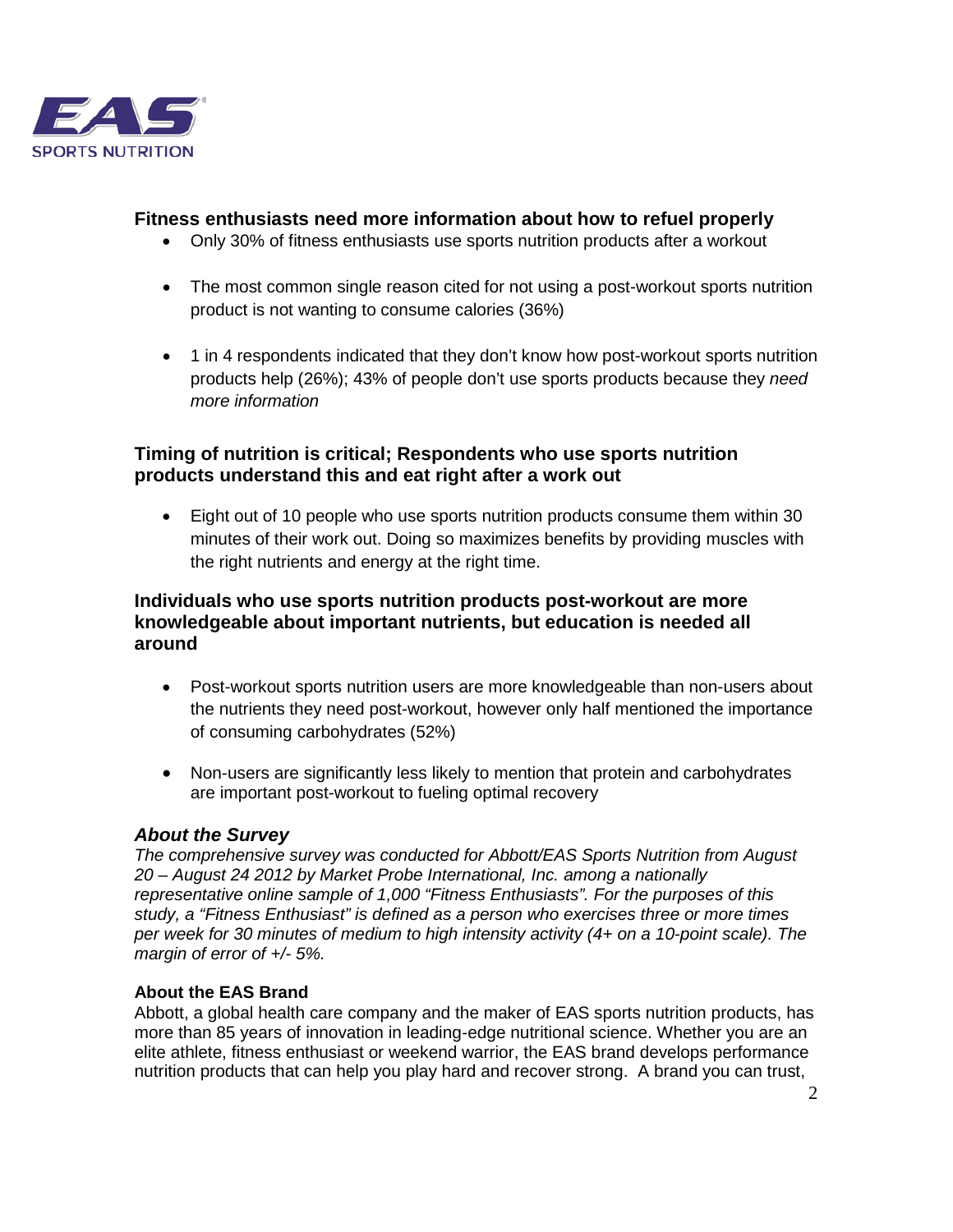

#### **Fitness enthusiasts need more information about how to refuel properly**

- Only 30% of fitness enthusiasts use sports nutrition products after a workout
- The most common single reason cited for not using a post-workout sports nutrition product is not wanting to consume calories (36%)
- 1 in 4 respondents indicated that they don't know how post-workout sports nutrition products help (26%); 43% of people don't use sports products because they *need more information*

### **Timing of nutrition is critical; Respondents who use sports nutrition products understand this and eat right after a work out**

• Eight out of 10 people who use sports nutrition products consume them within 30 minutes of their work out. Doing so maximizes benefits by providing muscles with the right nutrients and energy at the right time.

#### **Individuals who use sports nutrition products post-workout are more knowledgeable about important nutrients, but education is needed all around**

- Post-workout sports nutrition users are more knowledgeable than non-users about the nutrients they need post-workout, however only half mentioned the importance of consuming carbohydrates (52%)
- Non-users are significantly less likely to mention that protein and carbohydrates are important post-workout to fueling optimal recovery

#### *About the Survey*

*The comprehensive survey was conducted for Abbott/EAS Sports Nutrition from August 20 – August 24 2012 by Market Probe International, Inc. among a nationally representative online sample of 1,000 "Fitness Enthusiasts". For the purposes of this study, a "Fitness Enthusiast" is defined as a person who exercises three or more times per week for 30 minutes of medium to high intensity activity (4+ on a 10-point scale). The margin of error of +/- 5%.*

#### **About the EAS Brand**

Abbott, a global health care company and the maker of EAS sports nutrition products, has more than 85 years of innovation in leading-edge nutritional science. Whether you are an elite athlete, fitness enthusiast or weekend warrior, the EAS brand develops performance nutrition products that can help you play hard and recover strong. A brand you can trust,